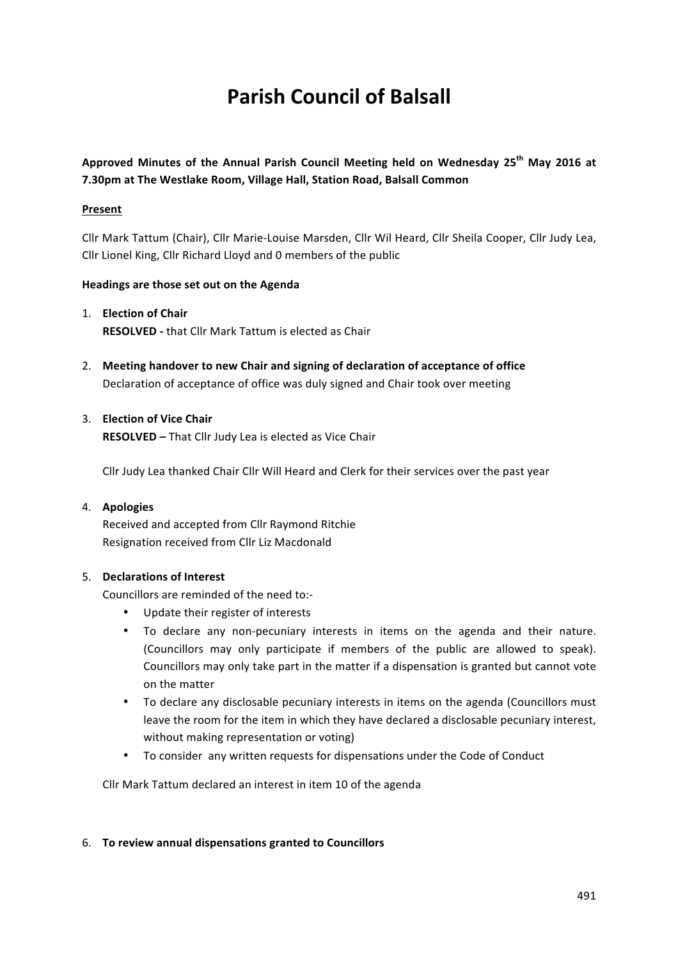# **Parish Council of Balsall**

Approved Minutes of the Annual Parish Council Meeting held on Wednesday 25<sup>th</sup> May 2016 at **7.30pm at The Westlake Room, Village Hall, Station Road, Balsall Common** 

## **Present**

Cllr Mark Tattum (Chair), Cllr Marie-Louise Marsden, Cllr Wil Heard, Cllr Sheila Cooper, Cllr Judy Lea, Cllr Lionel King, Cllr Richard Lloyd and 0 members of the public

## Headings are those set out on the Agenda

- 1. **Election of Chair RESOLVED** - that Cllr Mark Tattum is elected as Chair
- 2. Meeting handover to new Chair and signing of declaration of acceptance of office Declaration of acceptance of office was duly signed and Chair took over meeting

## 3. **Election of Vice Chair**

**RESOLVED** – That Cllr Judy Lea is elected as Vice Chair

Cllr Judy Lea thanked Chair Cllr Will Heard and Clerk for their services over the past year

#### 4. **Apologies**

Received and accepted from Cllr Raymond Ritchie Resignation received from Cllr Liz Macdonald

#### 5. **Declarations of Interest**

Councillors are reminded of the need to:-

- Update their register of interests
- To declare any non-pecuniary interests in items on the agenda and their nature. (Councillors may only participate if members of the public are allowed to speak). Councillors may only take part in the matter if a dispensation is granted but cannot vote on the matter
- To declare any disclosable pecuniary interests in items on the agenda (Councillors must leave the room for the item in which they have declared a disclosable pecuniary interest, without making representation or voting)
- To consider any written requests for dispensations under the Code of Conduct

Cllr Mark Tattum declared an interest in item 10 of the agenda

#### 6. **To review annual dispensations granted to Councillors**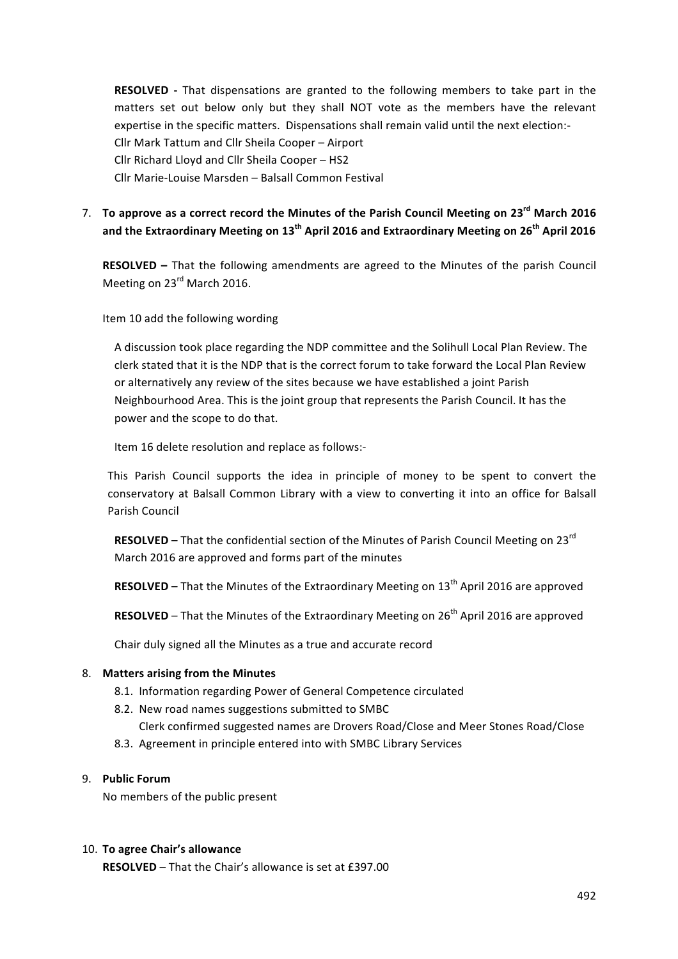**RESOLVED** - That dispensations are granted to the following members to take part in the matters set out below only but they shall NOT vote as the members have the relevant expertise in the specific matters. Dispensations shall remain valid until the next election:-Cllr Mark Tattum and Cllr Sheila Cooper - Airport Cllr Richard Lloyd and Cllr Sheila Cooper - HS2 Cllr Marie-Louise Marsden - Balsall Common Festival

7. To approve as a correct record the Minutes of the Parish Council Meeting on 23<sup>rd</sup> March 2016 and the Extraordinary Meeting on 13<sup>th</sup> April 2016 and Extraordinary Meeting on 26<sup>th</sup> April 2016

**RESOLVED** – That the following amendments are agreed to the Minutes of the parish Council Meeting on 23<sup>rd</sup> March 2016.

Item 10 add the following wording

A discussion took place regarding the NDP committee and the Solihull Local Plan Review. The clerk stated that it is the NDP that is the correct forum to take forward the Local Plan Review or alternatively any review of the sites because we have established a joint Parish Neighbourhood Area. This is the joint group that represents the Parish Council. It has the power and the scope to do that.

Item 16 delete resolution and replace as follows:-

This Parish Council supports the idea in principle of money to be spent to convert the conservatory at Balsall Common Library with a view to converting it into an office for Balsall Parish Council

**RESOLVED** – That the confidential section of the Minutes of Parish Council Meeting on 23<sup>rd</sup> March 2016 are approved and forms part of the minutes

**RESOLVED** – That the Minutes of the Extraordinary Meeting on 13<sup>th</sup> April 2016 are approved

**RESOLVED** – That the Minutes of the Extraordinary Meeting on 26<sup>th</sup> April 2016 are approved

Chair duly signed all the Minutes as a true and accurate record

#### 8. Matters arising from the Minutes

- 8.1. Information regarding Power of General Competence circulated
- 8.2. New road names suggestions submitted to SMBC Clerk confirmed suggested names are Drovers Road/Close and Meer Stones Road/Close
- 8.3. Agreement in principle entered into with SMBC Library Services

#### 9. **Public Forum**

No members of the public present

#### 10. **To agree Chair's allowance**

**RESOLVED** – That the Chair's allowance is set at £397.00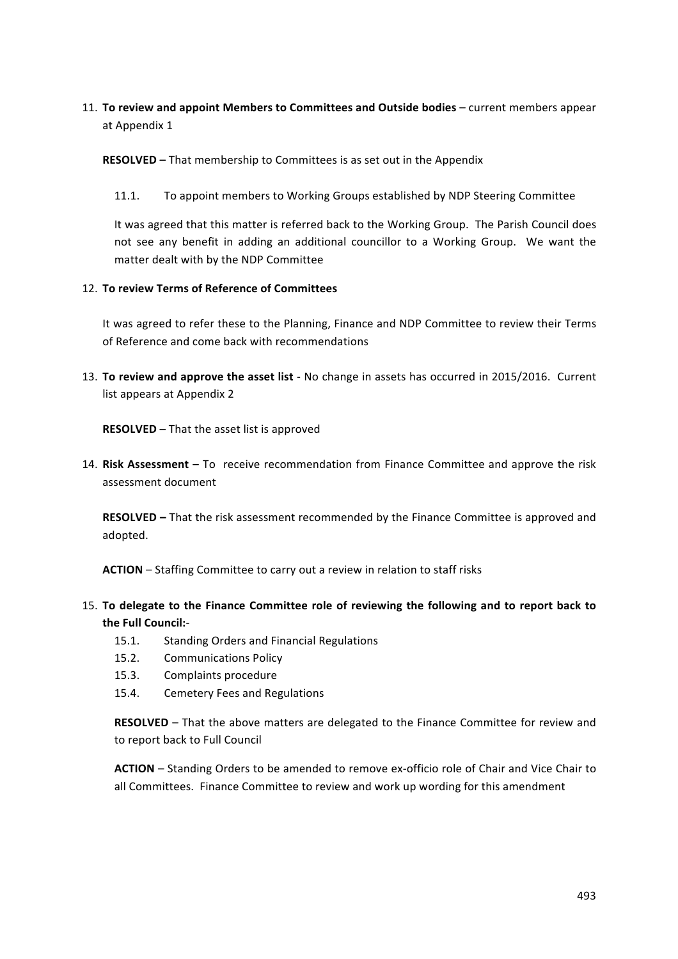## 11. To review and appoint Members to Committees and Outside bodies – current members appear at Appendix 1

**RESOLVED** – That membership to Committees is as set out in the Appendix

11.1. To appoint members to Working Groups established by NDP Steering Committee

It was agreed that this matter is referred back to the Working Group. The Parish Council does not see any benefit in adding an additional councillor to a Working Group. We want the matter dealt with by the NDP Committee

#### 12. To review Terms of Reference of Committees

It was agreed to refer these to the Planning, Finance and NDP Committee to review their Terms of Reference and come back with recommendations

13. **To review and approve the asset list** - No change in assets has occurred in 2015/2016. Current list appears at Appendix 2

**RESOLVED** – That the asset list is approved

14. Risk Assessment – To receive recommendation from Finance Committee and approve the risk assessment document

**RESOLVED** – That the risk assessment recommended by the Finance Committee is approved and adopted. 

**ACTION** – Staffing Committee to carry out a review in relation to staff risks

- 15. To delegate to the Finance Committee role of reviewing the following and to report back to the Full Council:-
	- 15.1. Standing Orders and Financial Regulations
	- 15.2. Communications Policy
	- 15.3. Complaints procedure
	- 15.4. Cemetery Fees and Regulations

**RESOLVED** – That the above matters are delegated to the Finance Committee for review and to report back to Full Council

**ACTION** – Standing Orders to be amended to remove ex-officio role of Chair and Vice Chair to all Committees. Finance Committee to review and work up wording for this amendment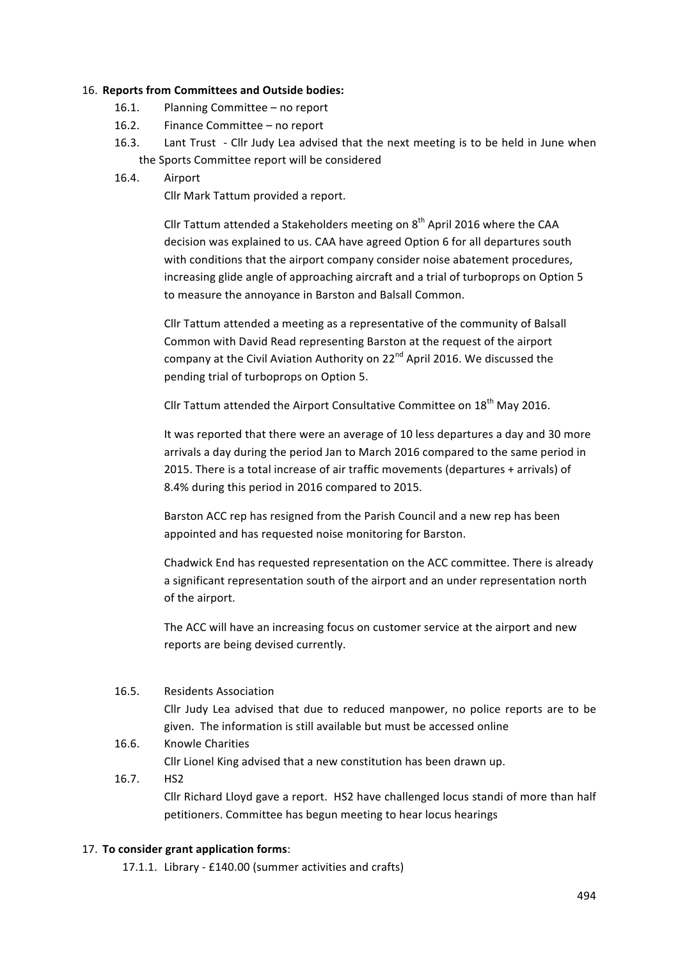#### 16. Reports from Committees and Outside bodies:

- 16.1. Planning Committee no report
- 16.2. Finance Committee no report
- 16.3. Lant Trust Cllr Judy Lea advised that the next meeting is to be held in June when the Sports Committee report will be considered

## 16.4. Airport

Cllr Mark Tattum provided a report.

Cllr Tattum attended a Stakeholders meeting on  $8<sup>th</sup>$  April 2016 where the CAA decision was explained to us. CAA have agreed Option 6 for all departures south with conditions that the airport company consider noise abatement procedures, increasing glide angle of approaching aircraft and a trial of turboprops on Option 5 to measure the annoyance in Barston and Balsall Common.

Cllr Tattum attended a meeting as a representative of the community of Balsall Common with David Read representing Barston at the request of the airport company at the Civil Aviation Authority on  $22^{nd}$  April 2016. We discussed the pending trial of turboprops on Option 5.

Cllr Tattum attended the Airport Consultative Committee on  $18^{th}$  May 2016.

It was reported that there were an average of 10 less departures a day and 30 more arrivals a day during the period Jan to March 2016 compared to the same period in 2015. There is a total increase of air traffic movements (departures  $+$  arrivals) of 8.4% during this period in 2016 compared to 2015.

Barston ACC rep has resigned from the Parish Council and a new rep has been appointed and has requested noise monitoring for Barston.

Chadwick End has requested representation on the ACC committee. There is already a significant representation south of the airport and an under representation north of the airport.

The ACC will have an increasing focus on customer service at the airport and new reports are being devised currently.

## 16.5. Residents Association

Cllr Judy Lea advised that due to reduced manpower, no police reports are to be given. The information is still available but must be accessed online

- 16.6. Knowle Charities Cllr Lionel King advised that a new constitution has been drawn up.
- 16.7. HS2 Cllr Richard Lloyd gave a report. HS2 have challenged locus standi of more than half petitioners. Committee has begun meeting to hear locus hearings

## 17. To consider grant application forms:

17.1.1. Library - £140.00 (summer activities and crafts)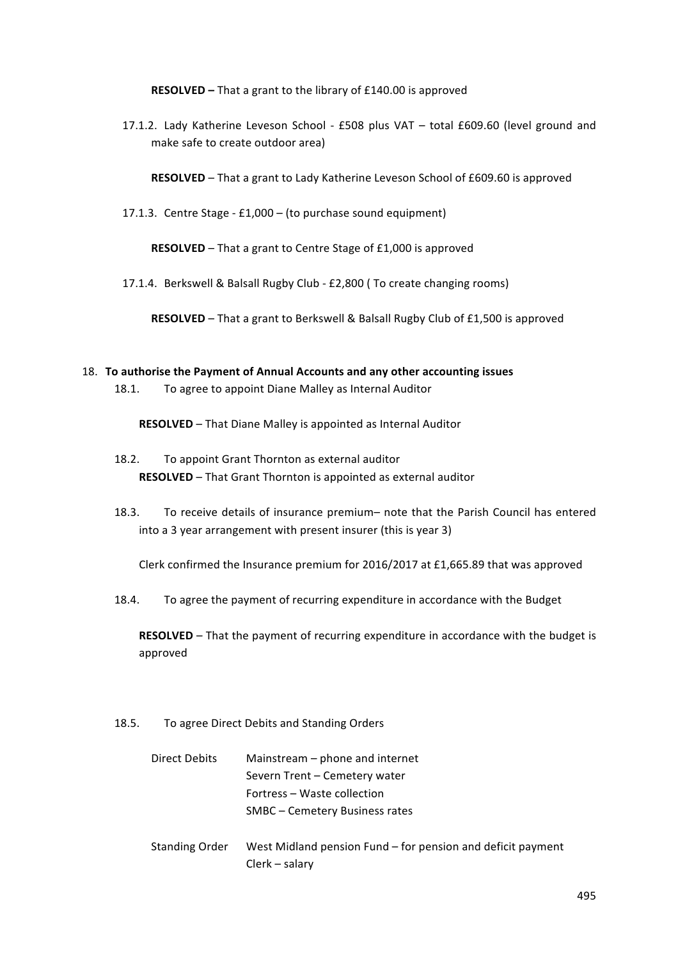**RESOLVED** – That a grant to the library of £140.00 is approved

17.1.2. Lady Katherine Leveson School - £508 plus VAT - total £609.60 (level ground and make safe to create outdoor area)

**RESOLVED** – That a grant to Lady Katherine Leveson School of £609.60 is approved

17.1.3. Centre Stage -  $£1,000 - (to purchase sound equipment)$ 

**RESOLVED** – That a grant to Centre Stage of £1,000 is approved

17.1.4. Berkswell & Balsall Rugby Club - £2,800 (To create changing rooms)

**RESOLVED** – That a grant to Berkswell & Balsall Rugby Club of  $£1,500$  is approved

#### 18. To authorise the Payment of Annual Accounts and any other accounting issues

18.1. To agree to appoint Diane Malley as Internal Auditor

**RESOLVED** – That Diane Malley is appointed as Internal Auditor

- 18.2. To appoint Grant Thornton as external auditor **RESOLVED** – That Grant Thornton is appointed as external auditor
- 18.3. To receive details of insurance premium– note that the Parish Council has entered into a 3 year arrangement with present insurer (this is year 3)

Clerk confirmed the Insurance premium for 2016/2017 at £1,665.89 that was approved

18.4. To agree the payment of recurring expenditure in accordance with the Budget

**RESOLVED** – That the payment of recurring expenditure in accordance with the budget is approved

18.5. To agree Direct Debits and Standing Orders

| Direct Debits         | Mainstream – phone and internet             |
|-----------------------|---------------------------------------------|
|                       | Severn Trent - Cemetery water               |
|                       | Fortress - Waste collection                 |
|                       | SMBC – Cemetery Business rates              |
|                       |                                             |
| <b>Standing Order</b> | West Midland pension Fund - for pension and |

deficit payment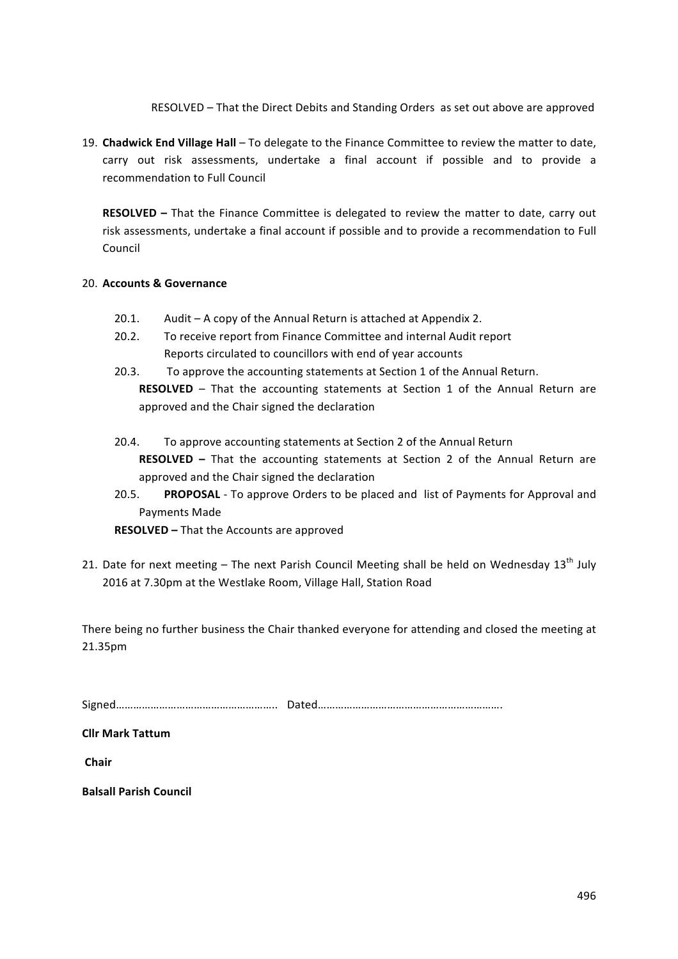RESOLVED – That the Direct Debits and Standing Orders as set out above are approved

19. **Chadwick End Village Hall** – To delegate to the Finance Committee to review the matter to date, carry out risk assessments, undertake a final account if possible and to provide a recommendation to Full Council

**RESOLVED** – That the Finance Committee is delegated to review the matter to date, carry out risk assessments, undertake a final account if possible and to provide a recommendation to Full Council

## 20. **Accounts & Governance**

- 20.1. Audit  $-$  A copy of the Annual Return is attached at Appendix 2.
- 20.2. To receive report from Finance Committee and internal Audit report Reports circulated to councillors with end of year accounts
- 20.3. To approve the accounting statements at Section 1 of the Annual Return. **RESOLVED** – That the accounting statements at Section 1 of the Annual Return are approved and the Chair signed the declaration
- 20.4. To approve accounting statements at Section 2 of the Annual Return **RESOLVED** – That the accounting statements at Section 2 of the Annual Return are approved and the Chair signed the declaration
- 20.5. **PROPOSAL** To approve Orders to be placed and list of Payments for Approval and Payments Made

**RESOLVED** – That the Accounts are approved

21. Date for next meeting  $-$  The next Parish Council Meeting shall be held on Wednesday  $13<sup>th</sup>$  July 2016 at 7.30pm at the Westlake Room, Village Hall, Station Road

There being no further business the Chair thanked everyone for attending and closed the meeting at 21.35pm

Signed……………………………………………….. Dated……………………………………………………….

**Cllr Mark Tattum**

**Chair**

**Balsall Parish Council**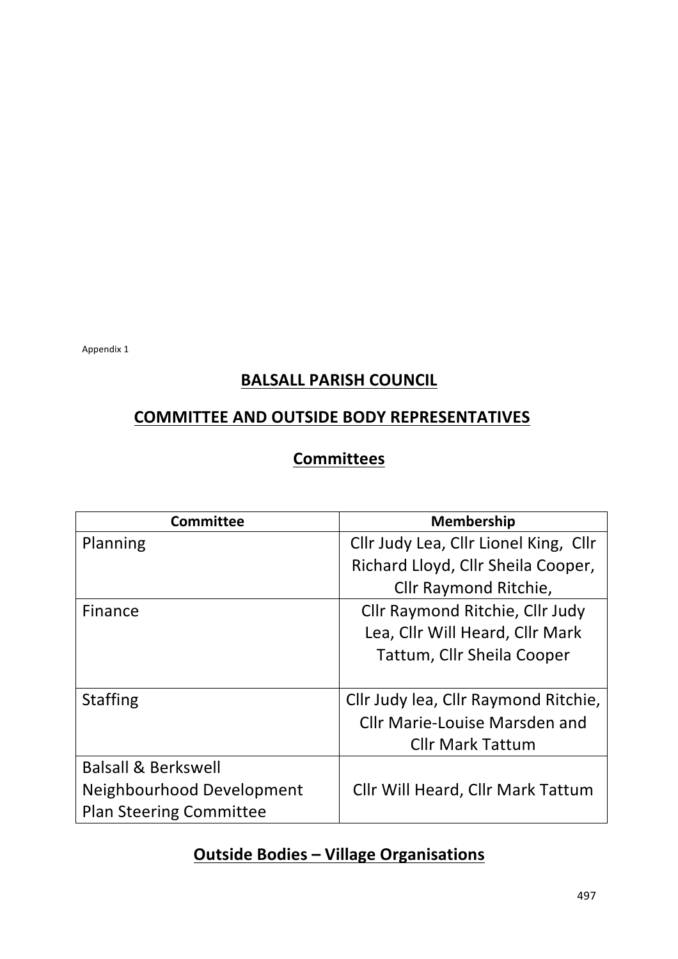Appendix 1

# **BALSALL PARISH COUNCIL**

# **COMMITTEE AND OUTSIDE BODY REPRESENTATIVES**

# **Committees**

| <b>Committee</b>               | <b>Membership</b>                     |  |
|--------------------------------|---------------------------------------|--|
| Planning                       | Cllr Judy Lea, Cllr Lionel King, Cllr |  |
|                                | Richard Lloyd, Cllr Sheila Cooper,    |  |
|                                | Cllr Raymond Ritchie,                 |  |
| Finance                        | Cllr Raymond Ritchie, Cllr Judy       |  |
|                                | Lea, Cllr Will Heard, Cllr Mark       |  |
|                                | Tattum, Cllr Sheila Cooper            |  |
|                                |                                       |  |
| <b>Staffing</b>                | Cllr Judy lea, Cllr Raymond Ritchie,  |  |
|                                | <b>Cllr Marie-Louise Marsden and</b>  |  |
|                                | <b>Cllr Mark Tattum</b>               |  |
| <b>Balsall &amp; Berkswell</b> |                                       |  |
| Neighbourhood Development      | Cllr Will Heard, Cllr Mark Tattum     |  |
| <b>Plan Steering Committee</b> |                                       |  |

# **Outside Bodies - Village Organisations**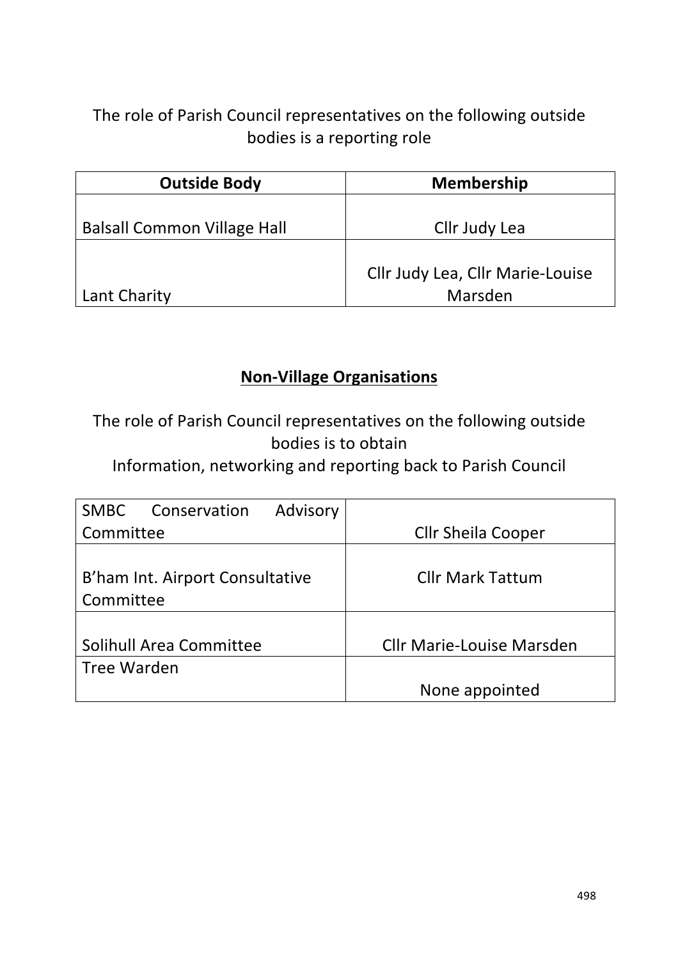# The role of Parish Council representatives on the following outside bodies is a reporting role

| <b>Outside Body</b>                | <b>Membership</b>                |
|------------------------------------|----------------------------------|
|                                    |                                  |
| <b>Balsall Common Village Hall</b> | Cllr Judy Lea                    |
|                                    |                                  |
|                                    | Cllr Judy Lea, Cllr Marie-Louise |
| Lant Charity                       | Marsden                          |

# **Non-Village Organisations**

The role of Parish Council representatives on the following outside bodies is to obtain

Information, networking and reporting back to Parish Council

| Advisory<br><b>SMBC</b><br>Conservation |                                  |
|-----------------------------------------|----------------------------------|
| Committee                               | <b>Cllr Sheila Cooper</b>        |
|                                         |                                  |
| B'ham Int. Airport Consultative         | <b>Cllr Mark Tattum</b>          |
| Committee                               |                                  |
|                                         |                                  |
| Solihull Area Committee                 | <b>Cllr Marie-Louise Marsden</b> |
| Tree Warden                             |                                  |
|                                         | None appointed                   |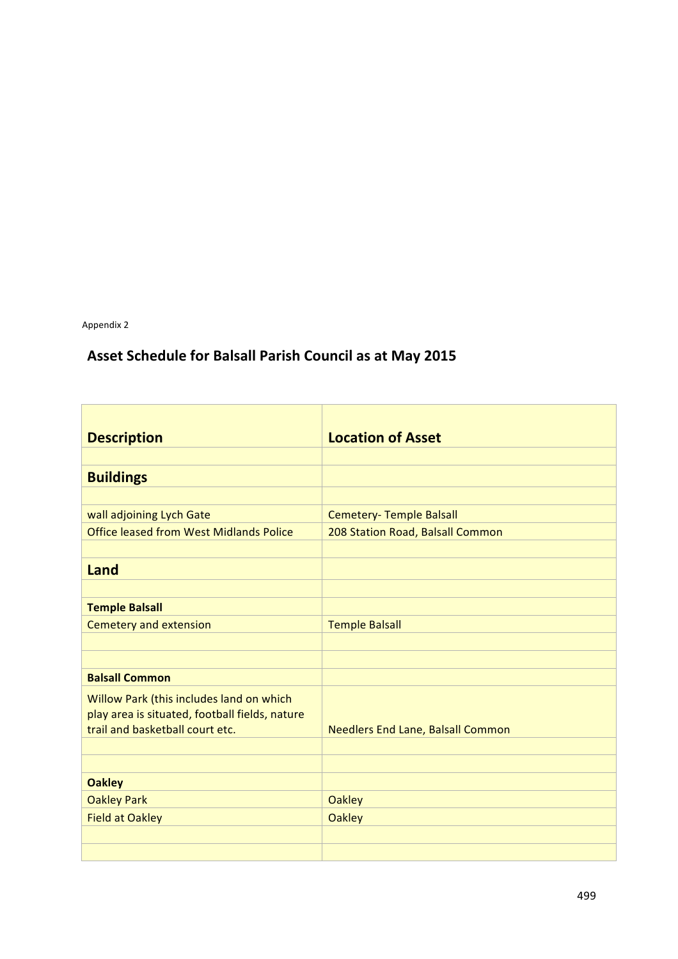Appendix 2

# Asset Schedule for Balsall Parish Council as at May 2015

| <b>Description</b>                             | <b>Location of Asset</b>                 |
|------------------------------------------------|------------------------------------------|
|                                                |                                          |
| <b>Buildings</b>                               |                                          |
|                                                |                                          |
| wall adjoining Lych Gate                       | Cemetery- Temple Balsall                 |
| <b>Office leased from West Midlands Police</b> | 208 Station Road, Balsall Common         |
|                                                |                                          |
| Land                                           |                                          |
|                                                |                                          |
| <b>Temple Balsall</b>                          |                                          |
| <b>Cemetery and extension</b>                  | <b>Temple Balsall</b>                    |
|                                                |                                          |
|                                                |                                          |
| <b>Balsall Common</b>                          |                                          |
| Willow Park (this includes land on which       |                                          |
| play area is situated, football fields, nature |                                          |
| trail and basketball court etc.                | <b>Needlers End Lane, Balsall Common</b> |
|                                                |                                          |
|                                                |                                          |
| <b>Oakley</b>                                  |                                          |
| <b>Oakley Park</b>                             | <b>Oakley</b>                            |
| <b>Field at Oakley</b>                         | <b>Oakley</b>                            |
|                                                |                                          |
|                                                |                                          |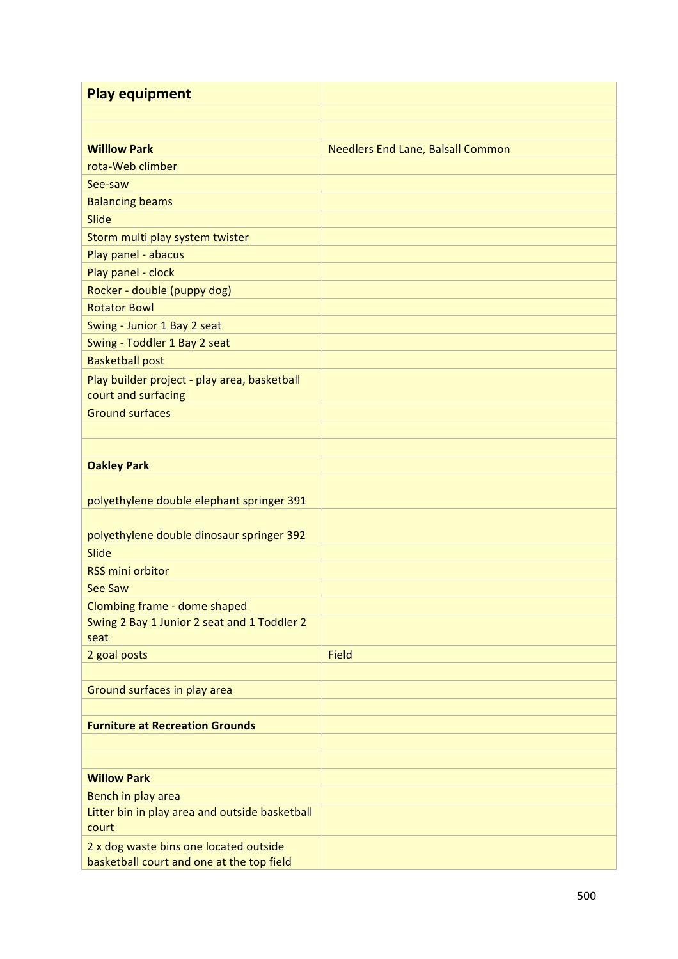| <b>Play equipment</b>                                                               |                                          |
|-------------------------------------------------------------------------------------|------------------------------------------|
|                                                                                     |                                          |
|                                                                                     |                                          |
| <b>Willlow Park</b>                                                                 | <b>Needlers End Lane, Balsall Common</b> |
| rota-Web climber                                                                    |                                          |
| See-saw                                                                             |                                          |
| <b>Balancing beams</b>                                                              |                                          |
| Slide                                                                               |                                          |
| Storm multi play system twister                                                     |                                          |
| Play panel - abacus                                                                 |                                          |
| Play panel - clock                                                                  |                                          |
| Rocker - double (puppy dog)                                                         |                                          |
| <b>Rotator Bowl</b>                                                                 |                                          |
| Swing - Junior 1 Bay 2 seat                                                         |                                          |
| Swing - Toddler 1 Bay 2 seat                                                        |                                          |
| <b>Basketball post</b>                                                              |                                          |
| Play builder project - play area, basketball                                        |                                          |
| court and surfacing                                                                 |                                          |
| <b>Ground surfaces</b>                                                              |                                          |
|                                                                                     |                                          |
|                                                                                     |                                          |
| <b>Oakley Park</b>                                                                  |                                          |
|                                                                                     |                                          |
| polyethylene double elephant springer 391                                           |                                          |
|                                                                                     |                                          |
| polyethylene double dinosaur springer 392                                           |                                          |
| Slide                                                                               |                                          |
| <b>RSS mini orbitor</b>                                                             |                                          |
| See Saw                                                                             |                                          |
| Clombing frame - dome shaped                                                        |                                          |
| Swing 2 Bay 1 Junior 2 seat and 1 Toddler 2<br>seat                                 |                                          |
| 2 goal posts                                                                        | <b>Field</b>                             |
|                                                                                     |                                          |
| Ground surfaces in play area                                                        |                                          |
|                                                                                     |                                          |
| <b>Furniture at Recreation Grounds</b>                                              |                                          |
|                                                                                     |                                          |
|                                                                                     |                                          |
| <b>Willow Park</b>                                                                  |                                          |
| Bench in play area                                                                  |                                          |
| Litter bin in play area and outside basketball                                      |                                          |
| court                                                                               |                                          |
| 2 x dog waste bins one located outside<br>basketball court and one at the top field |                                          |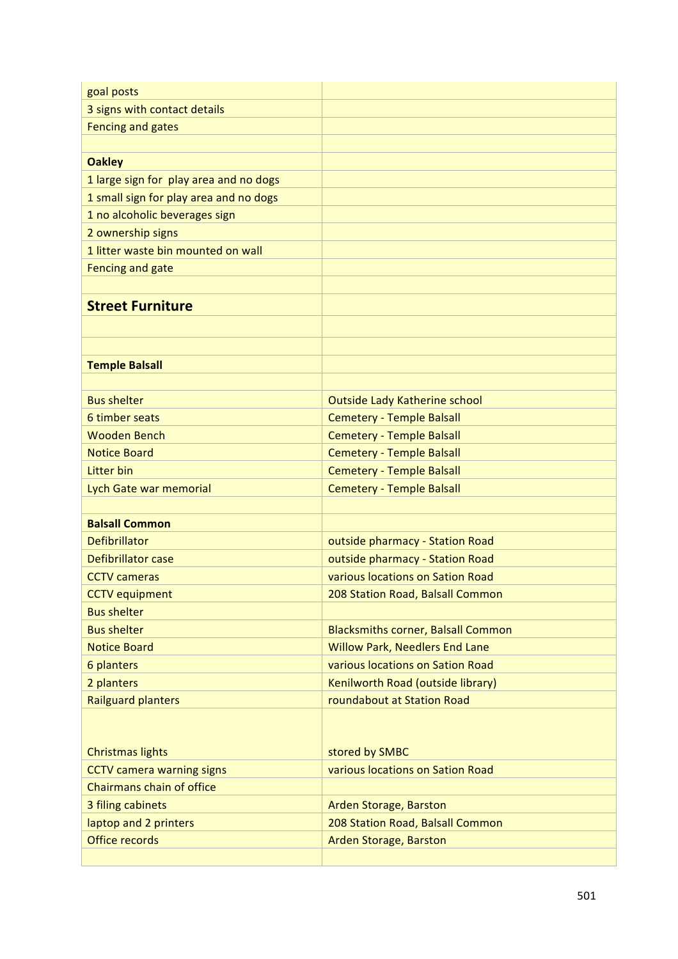| goal posts                                                  |                                                    |
|-------------------------------------------------------------|----------------------------------------------------|
| 3 signs with contact details                                |                                                    |
| <b>Fencing and gates</b>                                    |                                                    |
|                                                             |                                                    |
| <b>Oakley</b>                                               |                                                    |
| 1 large sign for play area and no dogs                      |                                                    |
| 1 small sign for play area and no dogs                      |                                                    |
| 1 no alcoholic beverages sign                               |                                                    |
| 2 ownership signs                                           |                                                    |
| 1 litter waste bin mounted on wall                          |                                                    |
| Fencing and gate                                            |                                                    |
|                                                             |                                                    |
| <b>Street Furniture</b>                                     |                                                    |
|                                                             |                                                    |
|                                                             |                                                    |
| <b>Temple Balsall</b>                                       |                                                    |
|                                                             |                                                    |
| <b>Bus shelter</b>                                          | Outside Lady Katherine school                      |
| 6 timber seats                                              | <b>Cemetery - Temple Balsall</b>                   |
| <b>Wooden Bench</b>                                         | <b>Cemetery - Temple Balsall</b>                   |
| <b>Notice Board</b>                                         | <b>Cemetery - Temple Balsall</b>                   |
| <b>Litter bin</b>                                           | <b>Cemetery - Temple Balsall</b>                   |
| Lych Gate war memorial                                      | <b>Cemetery - Temple Balsall</b>                   |
|                                                             |                                                    |
| <b>Balsall Common</b>                                       |                                                    |
| <b>Defibrillator</b>                                        | outside pharmacy - Station Road                    |
| Defibrillator case                                          | outside pharmacy - Station Road                    |
| <b>CCTV</b> cameras                                         | various locations on Sation Road                   |
| <b>CCTV</b> equipment                                       | 208 Station Road, Balsall Common                   |
| <b>Bus shelter</b>                                          |                                                    |
| <b>Bus shelter</b>                                          | <b>Blacksmiths corner, Balsall Common</b>          |
| <b>Notice Board</b>                                         | <b>Willow Park, Needlers End Lane</b>              |
| 6 planters                                                  | various locations on Sation Road                   |
| 2 planters                                                  | Kenilworth Road (outside library)                  |
| <b>Railguard planters</b>                                   | roundabout at Station Road                         |
|                                                             |                                                    |
|                                                             |                                                    |
| <b>Christmas lights</b><br><b>CCTV camera warning signs</b> | stored by SMBC<br>various locations on Sation Road |
| Chairmans chain of office                                   |                                                    |
| 3 filing cabinets                                           | Arden Storage, Barston                             |
| laptop and 2 printers                                       | 208 Station Road, Balsall Common                   |
| Office records                                              | Arden Storage, Barston                             |
|                                                             |                                                    |
|                                                             |                                                    |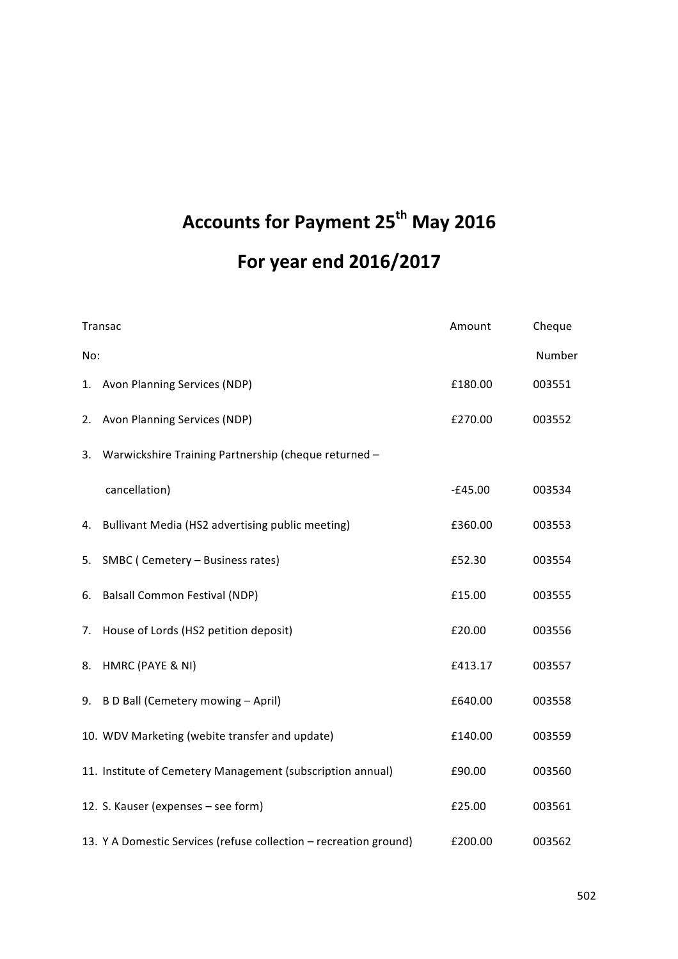# **Accounts for Payment 25<sup>th</sup> May 2016 For year end 2016/2017**

|     | Transac                                                           | Amount    | Cheque |
|-----|-------------------------------------------------------------------|-----------|--------|
| No: |                                                                   |           | Number |
|     | 1. Avon Planning Services (NDP)                                   | £180.00   | 003551 |
| 2.  | Avon Planning Services (NDP)                                      | £270.00   | 003552 |
| 3.  | Warwickshire Training Partnership (cheque returned -              |           |        |
|     | cancellation)                                                     | $-E45.00$ | 003534 |
|     | 4. Bullivant Media (HS2 advertising public meeting)               | £360.00   | 003553 |
|     | 5. SMBC (Cemetery - Business rates)                               | £52.30    | 003554 |
| 6.  | <b>Balsall Common Festival (NDP)</b>                              | £15.00    | 003555 |
| 7.  | House of Lords (HS2 petition deposit)                             | £20.00    | 003556 |
| 8.  | HMRC (PAYE & NI)                                                  | £413.17   | 003557 |
|     | 9. B D Ball (Cemetery mowing - April)                             | £640.00   | 003558 |
|     | 10. WDV Marketing (webite transfer and update)                    | £140.00   | 003559 |
|     | 11. Institute of Cemetery Management (subscription annual)        | £90.00    | 003560 |
|     | 12. S. Kauser (expenses - see form)                               | £25.00    | 003561 |
|     | 13. Y A Domestic Services (refuse collection - recreation ground) | £200.00   | 003562 |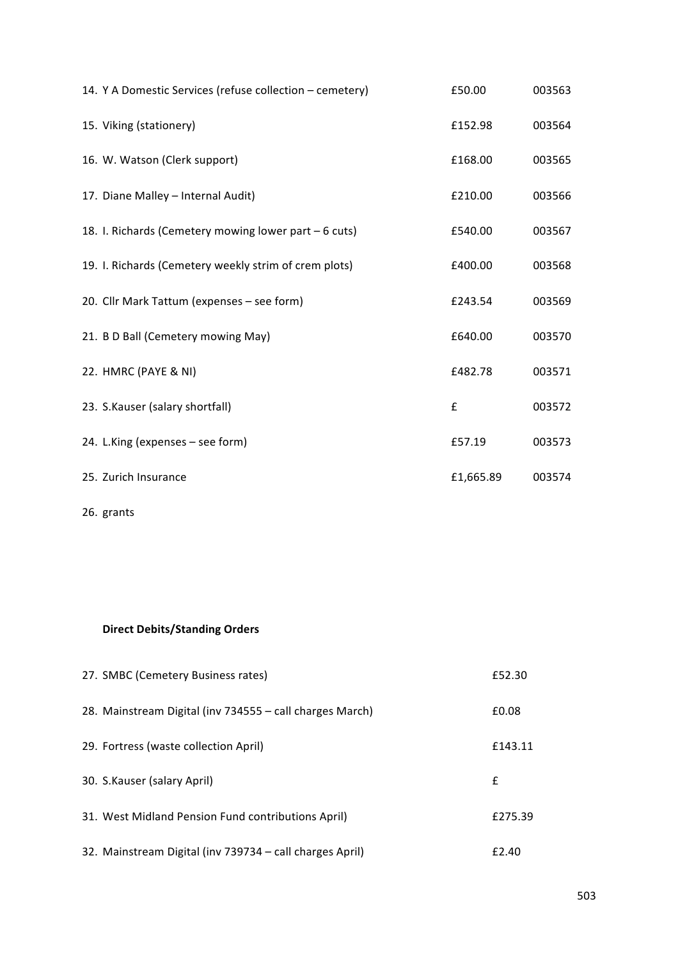| 14. Y A Domestic Services (refuse collection - cemetery) | £50.00    | 003563 |
|----------------------------------------------------------|-----------|--------|
| 15. Viking (stationery)                                  | £152.98   | 003564 |
| 16. W. Watson (Clerk support)                            | £168.00   | 003565 |
| 17. Diane Malley - Internal Audit)                       | £210.00   | 003566 |
| 18. I. Richards (Cemetery mowing lower part - 6 cuts)    | £540.00   | 003567 |
| 19. I. Richards (Cemetery weekly strim of crem plots)    | £400.00   | 003568 |
| 20. Cllr Mark Tattum (expenses - see form)               | £243.54   | 003569 |
| 21. B D Ball (Cemetery mowing May)                       | £640.00   | 003570 |
| 22. HMRC (PAYE & NI)                                     | £482.78   | 003571 |
| 23. S.Kauser (salary shortfall)                          | £         | 003572 |
| 24. L.King (expenses - see form)                         | £57.19    | 003573 |
| 25. Zurich Insurance                                     | £1,665.89 | 003574 |
|                                                          |           |        |

26. grants

# **Direct Debits/Standing Orders**

| 27. SMBC (Cemetery Business rates)                       | £52.30  |
|----------------------------------------------------------|---------|
| 28. Mainstream Digital (inv 734555 - call charges March) | £0.08   |
| 29. Fortress (waste collection April)                    | £143.11 |
| 30. S.Kauser (salary April)                              | £       |
| 31. West Midland Pension Fund contributions April)       | £275.39 |
| 32. Mainstream Digital (inv 739734 – call charges April) | £2.40   |